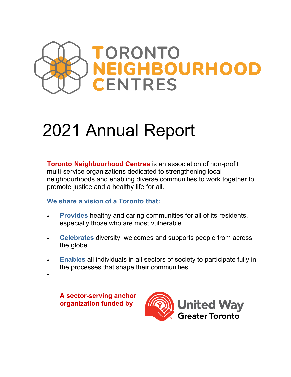

# 2021 Annual Report

**Toronto Neighbourhood Centres** is an association of non-profit multi-service organizations dedicated to strengthening local neighbourhoods and enabling diverse communities to work together to promote justice and a healthy life for all.

## **We share a vision of a Toronto that:**

- **Provides** healthy and caring communities for all of its residents, especially those who are most vulnerable.
- x **Celebrates** diversity, welcomes and supports people from across the globe.
- **Enables** all individuals in all sectors of society to participate fully in the processes that shape their communities.

 **A sector-serving anchor organization funded by** 

 $\bullet$ 

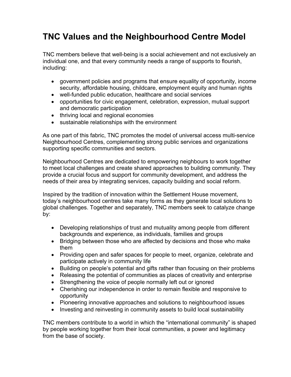## **TNC Values and the Neighbourhood Centre Model**

TNC members believe that well-being is a social achievement and not exclusively an individual one, and that every community needs a range of supports to flourish, including:

- government policies and programs that ensure equality of opportunity, income security, affordable housing, childcare, employment equity and human rights
- well-funded public education, healthcare and social services
- opportunities for civic engagement, celebration, expression, mutual support and democratic participation
- thriving local and regional economies
- $\bullet$  sustainable relationships with the environment

As one part of this fabric, TNC promotes the model of universal access multi-service Neighbourhood Centres, complementing strong public services and organizations supporting specific communities and sectors.

Neighbourhood Centres are dedicated to empowering neighbours to work together to meet local challenges and create shared approaches to building community. They provide a crucial focus and support for community development, and address the needs of their area by integrating services, capacity building and social reform.

Inspired by the tradition of innovation within the Settlement House movement, today's neighbourhood centres take many forms as they generate local solutions to global challenges. Together and separately, TNC members seek to catalyze change by:

- Developing relationships of trust and mutuality among people from different backgrounds and experience, as individuals, families and groups
- Bridging between those who are affected by decisions and those who make them
- Providing open and safer spaces for people to meet, organize, celebrate and participate actively in community life
- Building on people's potential and gifts rather than focusing on their problems
- $\bullet$  Releasing the potential of communities as places of creativity and enterprise
- Strengthening the voice of people normally left out or ignored
- Cherishing our independence in order to remain flexible and responsive to opportunity
- Pioneering innovative approaches and solutions to neighbourhood issues
- Investing and reinvesting in community assets to build local sustainability

TNC members contribute to a world in which the "international community" is shaped by people working together from their local communities, a power and legitimacy from the base of society.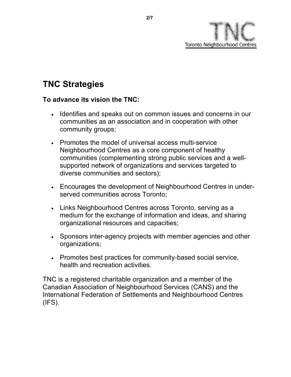

# **TNC Strategies**

#### **To advance its vision the TNC:**

- Identifies and speaks out on common issues and concerns in our communities as an association and in cooperation with other community groups;
- Promotes the model of universal access multi-service Neighbourhood Centres as a core component of healthy communities (complementing strong public services and a wellsupported network of organizations and services targeted to diverse communities and sectors);
- Encourages the development of Neighbourhood Centres in underserved communities across Toronto;
- Links Neighbourhood Centres across Toronto, serving as a medium for the exchange of information and ideas, and sharing organizational resources and capacities;
- Sponsors inter-agency projects with member agencies and other organizations;
- Promotes best practices for community-based social service, health and recreation activities.

TNC is a registered charitable organization and a member of the Canadian Association of Neighbourhood Services (CANS) and the International Federation of Settlements and Neighbourhood Centres  $(IFS).$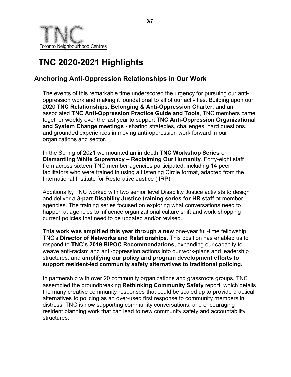

# **TNC 2020-2021 Highlights**

## **Anchoring Anti-Oppression Relationships in Our Work**

The events of this remarkable time underscored the urgency for pursuing our antioppression work and making it foundational to all of our activities. Building upon our 2020 **TNC Relationships, Belonging & Anti-Oppression Charter**, and an associated **TNC Anti-Oppression Practice Guide and Tools**, TNC members came together weekly over the last year to support **TNC Anti-Oppression Organizational and System Change meetings -** sharing strategies, challenges, hard questions, and grounded experiences in moving anti-oppression work forward in our organizations and sector.

In the Spring of 2021 we mounted an in depth **TNC Workshop Series** on **[Dismantling White Supremacy – Reclaiming Our Humanity](https://drive.google.com/drive/folders/16rVcusPG_iBtt0iXHrO3vd2c6poUBo5p)**. Forty-eight staff from across sixteen TNC member agencies participated, including 14 peer facilitators who were trained in using a Listening Circle format, adapted from the International Institute for Restorative Justice (IIRP).

Additionally, TNC worked with two senior level Disability Justice activists to design and deliver a **3-part Disability Justice training series for HR staff** at member agencies. The training series focused on exploring what conversations need to happen at agencies to influence organizational culture shift and work-shopping current policies that need to be updated and/or revised.

**This work was amplified this year through a new** one-year full-time fellowship, TNC's **Director of Networks and Relationships**. This position has enabled us to respond to **TNC's 2019 BIPOC Recommendations,** expanding our capacity to weave anti-racism and anti-oppression actions into our work-plans and leadership structures, and **amplifying our policy and program development efforts to support resident-led community safety alternatives to traditional policing.**

In partnership with over 20 community organizations and grassroots groups, TNC assembled the groundbreaking **Rethinking Community Safety** report, which details the many creative community responses that could be scaled up to provide practical alternatives to policing as an over-used first response to community members in distress. TNC is now supporting community conversations, and encouraging resident planning work that can lead to new community safety and accountability structures.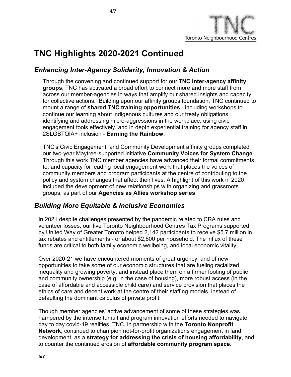

## **TNC Highlights 2020-2021 Continued**

## *Enhancing Inter-Agency Solidarity, Innovation & Action*

Through the convening and continued support for our **TNC inter-agency affinity groups**, TNC has activated a broad effort to connect more and more staff from across our member-agencies in ways that amplify our shared insights and capacity for collective actions. Building upon our affinity groups foundation, TNC continued to mount a range of **shared TNC training opportunities** - including workshops to continue our learning about indigenous cultures and our treaty obligations, identifying and addressing micro-aggressions in the workplace, using civic engagement tools effectively, and in depth experiential training for agency staff in 2SLGBTQIA+ inclusion - **Earning the Rainbow**.

TNC's Civic Engagement, and Community Development affinity groups completed our two-year Maytree-supported initiative **Community Voices for System Change**. Through this work TNC member agencies have advanced their formal commitments to, and capacity for leading local engagement work that places the voices of community members and program participants at the centre of contributing to the policy and system changes that affect their lives. A highlight of this work in 2020 included the development of new relationships with organizing and grassroots groups, as part of our **Agencies as Allies workshop series**.

#### *Building More Equitable & Inclusive Economies*

 In 2021 despite challenges presented by the pandemic related to CRA rules and volunteer losses, our five Toronto Neighbourhood Centres Tax Programs supported by United Way of Greater Toronto helped 2,142 participants to receive \$5.7 million in tax rebates and entitlements - or about \$2,600 per household. The influx of these funds are critical to both family economic wellbeing, and local economic vitality.

Over 2020-21 we have encountered moments of great urgency, and of new opportunities to take some of our economic structures that are fueling racialized inequality and growing poverty, and instead place them on a firmer footing of public and community ownership (e.g. in the case of housing), more robust access (in the case of affordable and accessible child care) and service provision that places the ethics of care and decent work at the centre of their staffing models, instead of defaulting the dominant calculus of private profit.

Though member agencies' active advancement of some of these strategies was hampered by the intense tumult and program innovation efforts needed to navigate day to day covid-19 realities, TNC, in partnership with the **Toronto Nonprofit Network**, continued to champion not-for-profit organizations engagement in land development, as a **strategy for addressing the crisis of housing affordability**, and to counter the continued erosion of **affordable community program space**.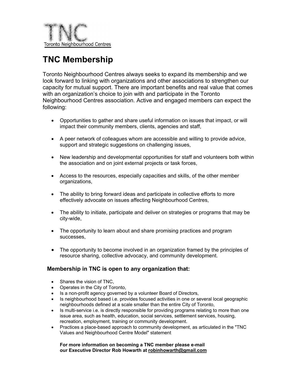

# **TNC Membership**

Toronto Neighbourhood Centres always seeks to expand its membership and we look forward to linking with organizations and other associations to strengthen our capacity for mutual support. There are important benefits and real value that comes with an organization's choice to join with and participate in the Toronto Neighbourhood Centres association. Active and engaged members can expect the following:

- Opportunities to gather and share useful information on issues that impact, or will impact their community members, clients, agencies and staff,
- A peer network of colleagues whom are accessible and willing to provide advice, support and strategic suggestions on challenging issues,
- New leadership and developmental opportunities for staff and volunteers both within the association and on joint external projects or task forces,
- Access to the resources, especially capacities and skills, of the other member organizations,
- The ability to bring forward ideas and participate in collective efforts to more effectively advocate on issues affecting Neighbourhood Centres,
- The ability to initiate, participate and deliver on strategies or programs that may be city-wide,
- The opportunity to learn about and share promising practices and program successes,
- The opportunity to become involved in an organization framed by the principles of resource sharing, collective advocacy, and community development.

#### **Membership in TNC is open to any organization that:**

- Shares the vision of TNC.
- Operates in the City of Toronto,
- Is a non-profit agency governed by a volunteer Board of Directors,
- Is neighbourhood based i.e. provides focused activities in one or several local geographic neighbourhoods defined at a scale smaller than the entire City of Toronto,
- $\bullet$  Is multi-service i.e. is directly responsible for providing programs relating to more than one issue area, such as health, education, social services, settlement services, housing, recreation, employment, training or community development.
- Practices a place-based approach to community development, as articulated in the "TNC Values and Neighbourhood Centre Model" statement

**For more information on becoming a TNC member please e-mail our Executive Director Rob Howarth at [robinhowarth@gmail.c](mailto:rhowarth@interlog.com)om**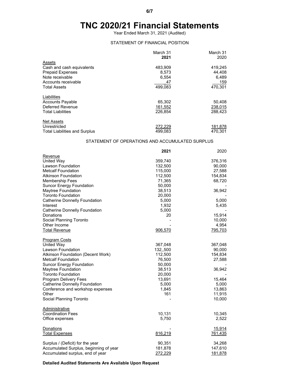## **TNC 2020/21 Financial Statements**

Year Ended March 31, 2021 (Audited)

#### STATEMENT OF FINANCIAL POSITION

|                                      | March 31 | March 31 |
|--------------------------------------|----------|----------|
|                                      | 2021     | 2020     |
| Assets                               |          |          |
| Cash and cash equivalents            | 483,909  | 419,245  |
| <b>Prepaid Expenses</b>              | 8.573    | 44.408   |
| Note receivable                      | 6,554    | 6,489    |
| Accounts receivable                  | 47       | 159      |
| <b>Total Assets</b>                  | 499.083  | 470.301  |
| Liabilities                          |          |          |
| <b>Accounts Payable</b>              | 65,302   | 50,408   |
| Deferred Revenue                     | 161,552  | 238,015  |
| <b>Total Liabilities</b>             | 226.854  | 288.423  |
| <b>Net Assets</b>                    |          |          |
| Unrestricted                         | 272,229  | 181,878  |
| <b>Total Liabilities and Surplus</b> | 499.083  | 470.301  |

#### STATEMENT OF OPERATIONS AND ACCUMULATED SURPLUS

|                                        | 2021     | 2020    |
|----------------------------------------|----------|---------|
| Revenue                                |          |         |
| United Way                             | 359,740  | 376,316 |
| Lawson Foundation                      | 132,500  | 90,000  |
| <b>Metcalf Foundation</b>              | 115,000  | 27,588  |
| <b>Atkinson Foundation</b>             | 112,500  | 154,834 |
| <b>Membership Fees</b>                 | 71,365   | 68,720  |
| <b>Suncor Energy Foundation</b>        | 50,000   |         |
| Maytree Foundation                     | 38,513   | 36,942  |
| <b>Toronto Foundation</b>              | 20,000   |         |
| <b>Catherine Donnelly Foundation</b>   | 5,000    | 5,000   |
| Interest                               | 1,932    | 5,435   |
| <b>Catherine Donnelly Foundation</b>   | 5,000    |         |
| Donations                              | 20       | 15,914  |
| Social Planning Toronto                |          | 10,000  |
| Other Income                           |          | 4,954   |
| <b>Total Revenue</b>                   | 906,570  | 795,703 |
| <b>Program Costs</b>                   |          |         |
| United Way                             | 367,048  | 367,048 |
| Lawson Foundation                      | 132,,500 | 90,000  |
| Atkinson Foundation (Decent Work)      | 112,500  | 154,834 |
| <b>Metcalf Foundation</b>              | 76,500   | 27,588  |
| <b>Suncor Energy Foundation</b>        | 50,000   |         |
| Maytree Foundation                     | 38,513   | 36,942  |
| <b>Toronto Foundation</b>              | 20,000   |         |
| <b>Program Delivery Fees</b>           | 13,691   | 15,464  |
| <b>Catherine Donnelly Foundation</b>   | 5,000    | 5,000   |
| Conference and workshop expenses       | 1,845    | 13,863  |
| Other                                  | 161      | 11,915  |
| Social Planning Toronto                |          | 10,000  |
| Administrative                         |          |         |
| <b>Coordination Fees</b>               | 10,131   | 10,345  |
| Office expenses                        | 5,750    | 2,522   |
| <b>Donations</b>                       |          | 15,914  |
| <b>Total Expenses</b>                  | 816,219  | 761,435 |
| Surplus / (Deficit) for the year       | 90,351   | 34,268  |
| Accumulated Surplus, beginning of year | 181,878  | 147,610 |
| Accumulated surplus, end of year       | 272,229  | 181,878 |

**Detailed Audited Statements Are Available Upon Request**